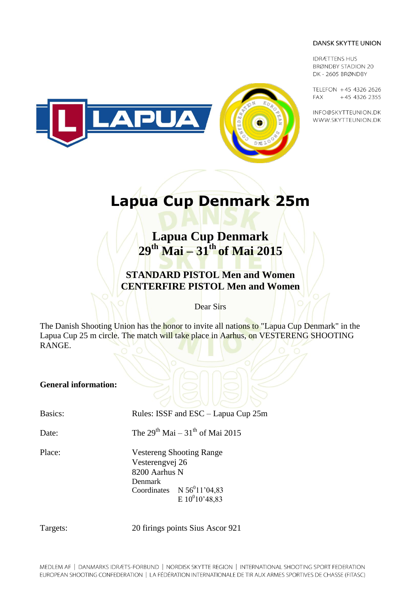**IDRÆTTENS HUS BRØNDBY STADION 20** DK-2605 BRØNDBY

TELEFON +45 4326 2626 FAX +45 4326 2355

INFO@SKYTTEUNION.DK WWW.SKYTTEUNION.DK



# **Lapua Cup Denmark 25m**

**Lapua Cup Denmark 29th Mai – 31 th of Mai 2015**

**STANDARD PISTOL Men and Women CENTERFIRE PISTOL Men and Women**

Dear Sirs

The Danish Shooting Union has the honor to invite all nations to "Lapua Cup Denmark" in the Lapua Cup 25 m circle. The match will take place in Aarhus, on VESTERENG SHOOTING RANGE.

**General information:**

Basics: Rules: ISSF and ESC – Lapua Cup 25m

Date: The  $29<sup>th</sup>$  Mai –  $31<sup>th</sup>$  of Mai 2015

Place: Vestereng Shooting Range Vesterengvej 26 8200 Aarhus N Denmark Coordinates  $N 56<sup>0</sup>11'04,83$  $E 10^010'48,83$ 

Targets: 20 firings points Sius Ascor 921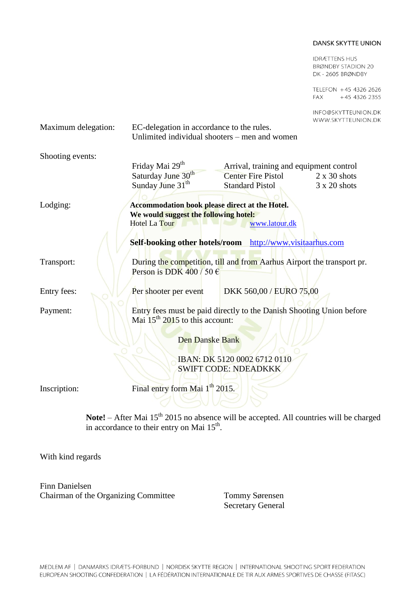**IDRÆTTENS HUS BRØNDBY STADION 20** DK-2605 BRØNDBY

TELEFON +45 4326 2626 **FAX** +45 4326 2355

INFO@SKYTTEUNION.DK WWW.SKYTTEUNION.DK

| Maximum delegation: | EC-delegation in accordance to the rules.<br>Unlimited individual shooters – men and women                         |                                                             |                     |
|---------------------|--------------------------------------------------------------------------------------------------------------------|-------------------------------------------------------------|---------------------|
| Shooting events:    |                                                                                                                    |                                                             |                     |
|                     | Friday Mai 29 <sup>th</sup>                                                                                        | Arrival, training and equipment control                     |                     |
|                     | Saturday June 30 <sup>th</sup>                                                                                     | <b>Center Fire Pistol</b>                                   | $2 \times 30$ shots |
|                     | Sunday June 31 <sup>th</sup>                                                                                       | <b>Standard Pistol</b>                                      | $3 \times 20$ shots |
| Lodging:            | Accommodation book please direct at the Hotel.<br>We would suggest the following hotel:                            |                                                             |                     |
|                     | Hotel La Tour                                                                                                      | www.latour.dk                                               |                     |
|                     |                                                                                                                    | Self-booking other hotels/room http://www.visitaarhus.com   |                     |
| Transport:          | During the competition, till and from Aarhus Airport the transport pr.<br>Person is DDK 400 / 50 $\in$             |                                                             |                     |
| Entry fees:         | Per shooter per event                                                                                              | DKK 560,00 / EURO 75,00                                     |                     |
| Payment:            | Entry fees must be paid directly to the Danish Shooting Union before<br>Mai 15 <sup>th</sup> 2015 to this account: |                                                             |                     |
|                     | <b>Den Danske Bank</b>                                                                                             |                                                             |                     |
|                     |                                                                                                                    | IBAN: DK 5120 0002 6712 0110<br><b>SWIFT CODE: NDEADKKK</b> |                     |
| Inscription:        | Final entry form Mai 1 <sup>th</sup> 2015.                                                                         |                                                             |                     |
|                     | Noted $A_{\mu\nu}$ Mei $I_{\mu}$ <sup>th</sup> 2015 as characterill be concreted All countries will be char-       |                                                             |                     |

Note! – After Mai 15<sup>th</sup> 2015 no absence will be accepted. All countries will be charged in accordance to their entry on Mai  $15^{th}$ .

With kind regards

Finn Danielsen Chairman of the Organizing Committee Tommy Sørensen

Secretary General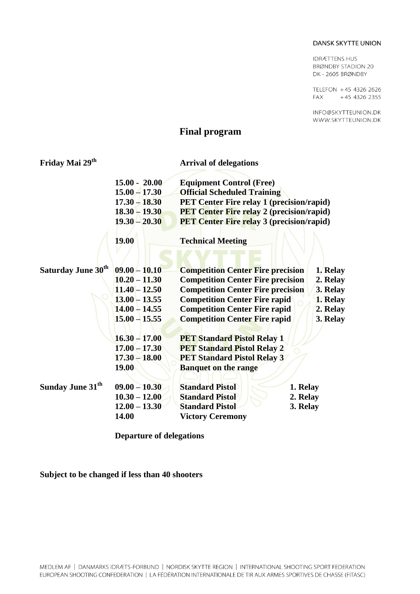**IDRÆTTENS HUS BRØNDBY STADION 20** DK-2605 BRØNDBY

TELEFON +45 4326 2626 +45 4326 2355 **FAX** 

INFO@SKYTTEUNION.DK WWW.SKYTTEUNION.DK

# **Final program**

| Friday Mai 29 <sup>th</sup>    |                                                                     | <b>Arrival of delegations</b>                    |          |  |
|--------------------------------|---------------------------------------------------------------------|--------------------------------------------------|----------|--|
|                                | $15.00 - 20.00$<br>$15.00 - 17.30$                                  | <b>Equipment Control (Free)</b>                  |          |  |
|                                |                                                                     | <b>Official Scheduled Training</b>               |          |  |
|                                | $17.30 - 18.30$                                                     | <b>PET Center Fire relay 1 (precision/rapid)</b> |          |  |
|                                | $18.30 - 19.30$                                                     | <b>PET Center Fire relay 2 (precision/rapid)</b> |          |  |
|                                | $19.30 - 20.30$<br><b>PET Center Fire relay 3 (precision/rapid)</b> |                                                  |          |  |
|                                | <b>19.00</b>                                                        | <b>Technical Meeting</b>                         |          |  |
|                                |                                                                     |                                                  |          |  |
| Saturday June 30 <sup>th</sup> | $09.00 - 10.10$                                                     | <b>Competition Center Fire precision</b>         | 1. Relay |  |
|                                | $10.20 - 11.30$                                                     | <b>Competition Center Fire precision</b>         | 2. Relay |  |
|                                | $11.40 - 12.50$                                                     | <b>Competition Center Fire precision</b>         | 3. Relay |  |
|                                | $13.00 - 13.55$                                                     | <b>Competition Center Fire rapid</b>             | 1. Relay |  |
|                                | $14.00 - 14.55$                                                     | <b>Competition Center Fire rapid</b>             | 2. Relay |  |
|                                | $15.00 - 15.55$                                                     | <b>Competition Center Fire rapid</b>             | 3. Relay |  |
|                                | $16.30 - 17.00$                                                     | <b>PET Standard Pistol Relay 1</b>               |          |  |
|                                | $17.00 - 17.30$                                                     | <b>PET Standard Pistol Relay 2</b>               |          |  |
|                                | $17.30 - 18.00$                                                     | <b>PET Standard Pistol Relay 3</b>               |          |  |
|                                | <b>19.00</b>                                                        | <b>Banquet on the range</b>                      |          |  |
| Sunday June 31 <sup>th</sup>   | $09.00 - 10.30$                                                     | <b>Standard Pistol</b>                           | 1. Relay |  |
|                                | $10.30 - 12.00$                                                     | <b>Standard Pistol</b>                           | 2. Relay |  |
|                                | $12.00 - 13.30$                                                     | <b>Standard Pistol</b>                           | 3. Relay |  |
|                                | 14.00                                                               | <b>Victory Ceremony</b>                          |          |  |

**Departure of delegations**

**Subject to be changed if less than 40 shooters**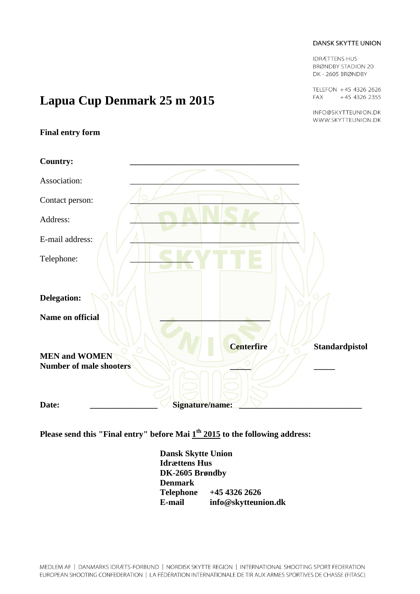**IDRÆTTENS HUS BRØNDBY STADION 20** DK-2605 BRØNDBY

TELEFON +45 4326 2626 **FAX** +45 4326 2355

INFO@SKYTTEUNION.DK WWW.SKYTTEUNION.DK

# **Lapua Cup Denmark 25 m 2015**

## **Final entry form**

| <b>Country:</b>                |                        |                |
|--------------------------------|------------------------|----------------|
| Association:                   |                        |                |
| Contact person:                |                        |                |
| Address:                       |                        |                |
| E-mail address:                |                        |                |
| Telephone:                     |                        |                |
| Delegation:                    |                        |                |
| Name on official               | <b>Centerfire</b>      |                |
| <b>MEN and WOMEN</b>           |                        | Standardpistol |
| <b>Number of male shooters</b> |                        |                |
| Date:                          | <b>Signature/name:</b> |                |

**Please send this "Final entry" before Mai 1 th 2015 to the following address:**

**Dansk Skytte Union Idrættens Hus DK-2605 Brøndby Denmark Telephone +45 4326 2626 E-mail info@skytteunion.dk**